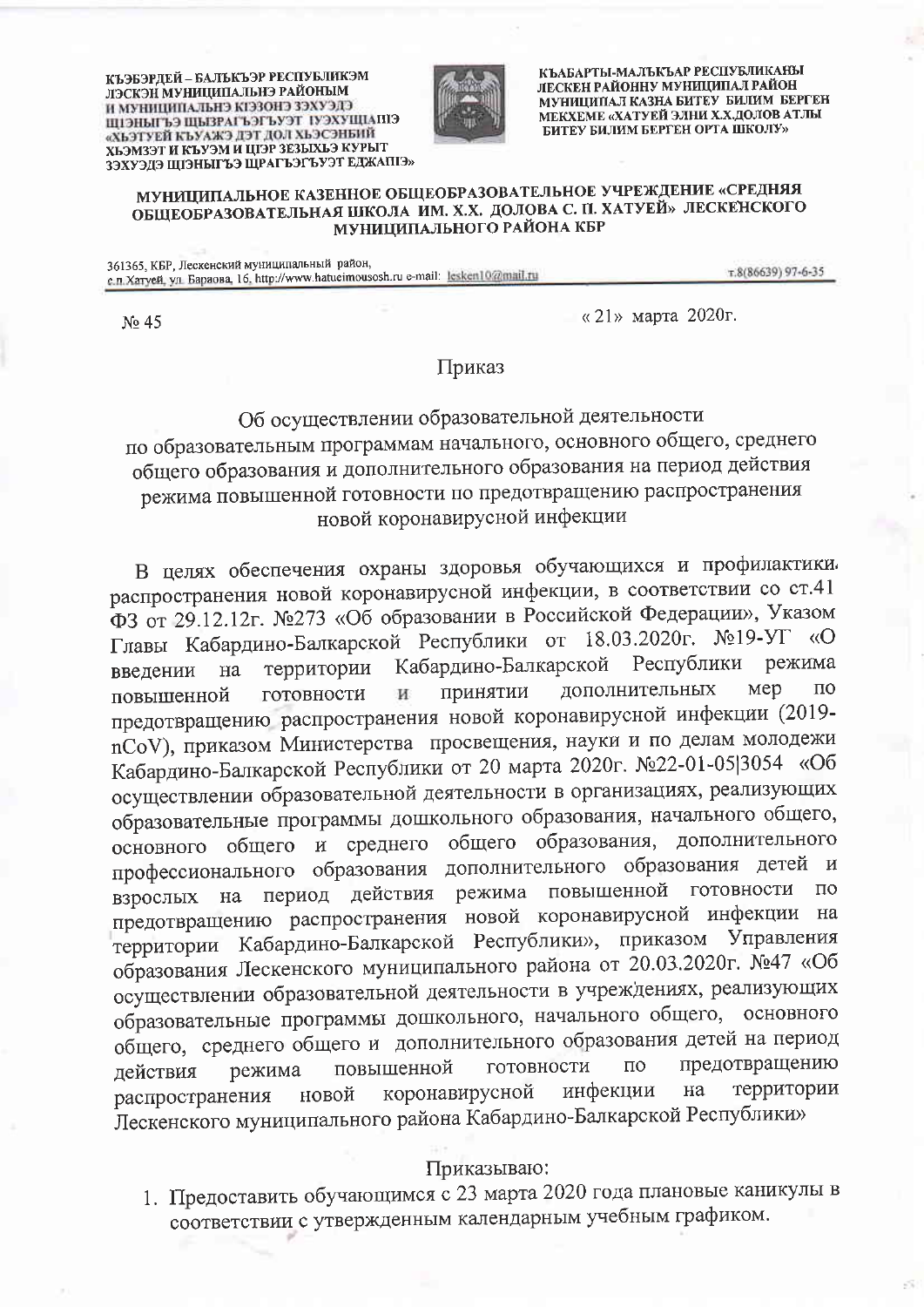КЪЭБЭРДЕЙ – БАЛЬКЪЭР РЕСПУБЛИКЭМ ЛЭСКЭН МУНИЦИПАЛЬНЭ РАЙОНЫМ И МУНИЦИПАЛЬНЭ КГЭЗОНЭ ЗЭХУЭЛЭ ЕПАЦИЯХСУІ ТСУАТЕАТЬЯВЫ САТЫНСІЦІ «ХЬЭТУЕЙ КЪУАЖЭ ДЭТ ДОЛ ХЬЭСЭНБИЙ ХЬЭМЗЭТ И КЪУЭМ И ЦІЭР ЗЕЗЫХЬЭ КУРЫТ ЗЭХУЭДЭ ЩІЭНЫГЪЭ ЩРАГЪЭГЪУЭТ ЕДЖАПІЭ»



КЪАБАРТЫ-МАЛЪКЪАР РЕСПУБЛИКАНЫ ЛЕСКЕН РАЙОННУ МУНИЦИПАЛ РАЙОН МУНИЦИПАЛ КАЗНА БИТЕУ БИЛИМ БЕРГЕН МЕКХЕМЕ «ХАТУЕЙ ЭЛНИ Х.Х.ДОЛОВ АТЛЫ БИТЕУ БИЛИМ БЕРГЕН ОРТА ШКОЛУ»

## МУНИЦИПАЛЬНОЕ КАЗЕННОЕ ОБЩЕОБРАЗОВАТЕЛЬНОЕ УЧРЕЖДЕНИЕ «СРЕДНЯЯ ОБЩЕОБРАЗОВАТЕЛЬНАЯ ШКОЛА ИМ. Х.Х. ДОЛОВА С. П. ХАТУЕЙ» ЛЕСКЕНСКОГО МУНИЦИПАЛЬНОГО РАЙОНА КБР

361365, КБР, Лескенский муниципальный район, с п. Хатуей, ул. Бараова, 16. http://www.hatueimousosh.ru e-mail: lesken10@mail.ru

т.8(86639) 97-6-35

No 45

« 21» марта 2020г.

Приказ

## Об осуществлении образовательной деятельности по образовательным программам начального, основного общего, среднего общего образования и дополнительного образования на период действия режима повышенной готовности по предотвращению распространения новой коронавирусной инфекции

В целях обеспечения охраны здоровья обучающихся и профилактики. распространения новой коронавирусной инфекции, в соответствии со ст.41 ФЗ от 29.12.12г. №273 «Об образовании в Российской Федерации», Указом Главы Кабардино-Балкарской Республики от 18.03.2020г. №19-УГ «О Кабардино-Балкарской Республики режима территории введении  $_{\rm Ha}$ дополнительных Mep  $\overline{10}$ принятии готовности И повышенной предотвращению распространения новой коронавирусной инфекции (2019nCoV), приказом Министерства просвещения, науки и по делам молодежи Кабардино-Балкарской Республики от 20 марта 2020г. №22-01-05|3054 «Об осуществлении образовательной деятельности в организациях, реализующих образовательные программы дошкольного образования, начального общего, основного общего и среднего общего образования, дополнительного профессионального образования дополнительного образования детей и период действия режима повышенной готовности  $\Pi$ O взрослых на предотвращению распространения новой коронавирусной инфекции на территории Кабардино-Балкарской Республики», приказом Управления образования Лескенского муниципального района от 20.03.2020г. №47 «Об осуществлении образовательной деятельности в учреждениях, реализующих образовательные программы дошкольного, начального общего, основного общего, среднего общего и дополнительного образования детей на период предотвращению повышенной готовности  $\overline{10}$ действия режима инфекции территории коронавирусной на распространения новой Лескенского муниципального района Кабардино-Балкарской Республики»

## Приказываю:

1. Предоставить обучающимся с 23 марта 2020 года плановые каникулы в соответствии с утвержденным календарным учебным графиком.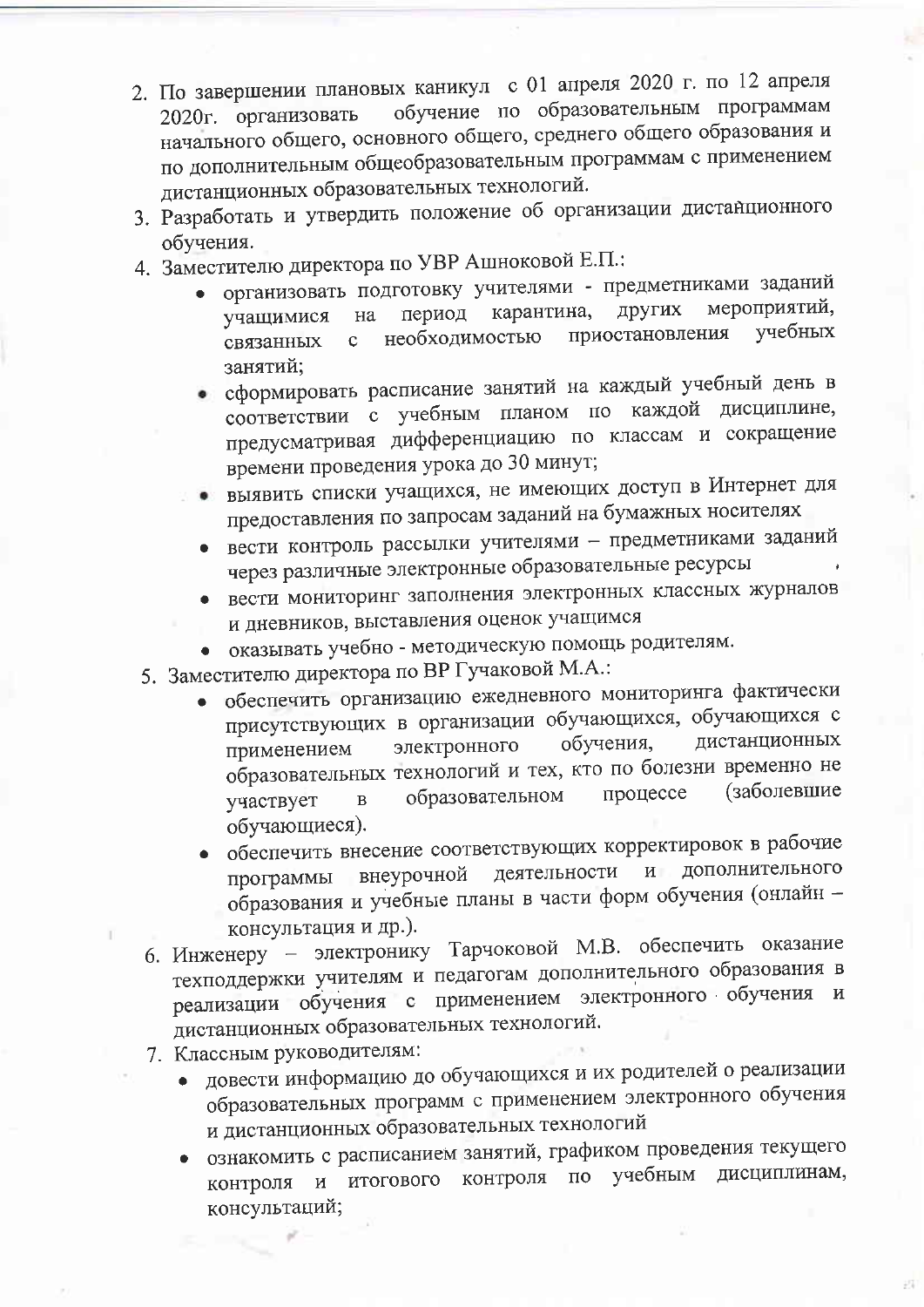- 2. По завершении плановых каникул с 01 апреля 2020 г. по 12 апреля обучение по образовательным программам 2020г. организовать начального общего, основного общего, среднего общего образования и по дополнительным общеобразовательным программам с применением дистанционных образовательных технологий.
- 3. Разработать и утвердить положение об организации дистанционного обучения.
- 4. Заместителю директора по УВР Ашноковой Е.П.:
	- организовать подготовку учителями предметниками заданий мероприятий. карантина, других период на учащимися учебных приостановления необходимостью  $\mathbf{c}$ связанных занятий;
	- сформировать расписание занятий на каждый учебный день в соответствии с учебным планом по каждой дисциплине, предусматривая дифференциацию по классам и сокращение времени проведения урока до 30 минут;
	- выявить списки учащихся, не имеющих доступ в Интернет для предоставления по запросам заданий на бумажных носителях
	- вести контроль рассылки учителями предметниками заданий через различные электронные образовательные ресурсы
	- вести мониторинг заполнения электронных классных журналов
	- и дневников, выставления оценок учащимся
	- оказывать учебно методическую помощь родителям.
- 5. Заместителю директора по ВР Гучаковой М.А.:
	- обеспечить организацию ежедневного мониторинга фактически присутствующих в организации обучающихся, обучающихся с дистанционных обучения, электронного применением образовательных технологий и тех, кто по болезни временно не (заболевшие процессе образовательном  $\mathbf{B}$ участвует обучающиеся).
	- обеспечить внесение соответствующих корректировок в рабочие дополнительного деятельности  $\mathbf{H}$ внеурочной программы образования и учебные планы в части форм обучения (онлайн консультация и др.).
- 6. Инженеру электронику Тарчоковой М.В. обеспечить оказание техподдержки учителям и педагогам дополнительного образования в реализации обучения с применением электронного обучения и дистанционных образовательных технологий.
- 7. Классным руководителям:
	- довести информацию до обучающихся и их родителей о реализации образовательных программ с применением электронного обучения и дистанционных образовательных технологий
	- ознакомить с расписанием занятий, графиком проведения текущего контроля и итогового контроля по учебным дисциплинам, консультаций;